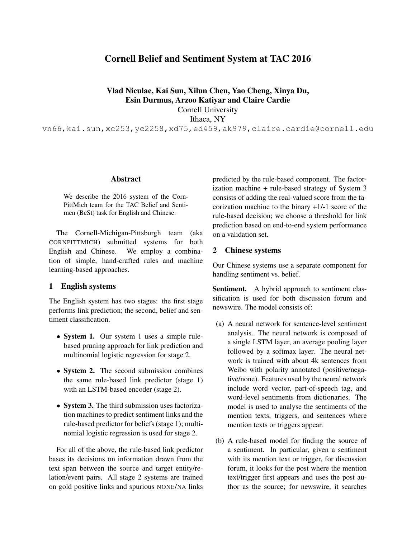# Cornell Belief and Sentiment System at TAC 2016

Vlad Niculae, Kai Sun, Xilun Chen, Yao Cheng, Xinya Du, Esin Durmus, Arzoo Katiyar and Claire Cardie

Cornell University

Ithaca, NY

vn66,kai.sun,xc253,yc2258,xd75,ed459,ak979,claire.cardie@cornell.edu

## **Abstract**

We describe the 2016 system of the Corn-PittMich team for the TAC Belief and Sentimen (BeSt) task for English and Chinese.

The Cornell-Michigan-Pittsburgh team (aka CORNPITTMICH) submitted systems for both English and Chinese. We employ a combination of simple, hand-crafted rules and machine learning-based approaches.

# 1 English systems

The English system has two stages: the first stage performs link prediction; the second, belief and sentiment classification.

- System 1. Our system 1 uses a simple rulebased pruning approach for link prediction and multinomial logistic regression for stage 2.
- System 2. The second submission combines the same rule-based link predictor (stage 1) with an LSTM-based encoder (stage 2).
- System 3. The third submission uses factorization machines to predict sentiment links and the rule-based predictor for beliefs (stage 1); multinomial logistic regression is used for stage 2.

For all of the above, the rule-based link predictor bases its decisions on information drawn from the text span between the source and target entity/relation/event pairs. All stage 2 systems are trained on gold positive links and spurious NONE/NA links predicted by the rule-based component. The factorization machine + rule-based strategy of System 3 consists of adding the real-valued score from the facorization machine to the binary +1/-1 score of the rule-based decision; we choose a threshold for link prediction based on end-to-end system performance on a validation set.

#### 2 Chinese systems

Our Chinese systems use a separate component for handling sentiment vs. belief.

Sentiment. A hybrid approach to sentiment classification is used for both discussion forum and newswire. The model consists of:

- (a) A neural network for sentence-level sentiment analysis. The neural network is composed of a single LSTM layer, an average pooling layer followed by a softmax layer. The neural network is trained with about 4k sentences from Weibo with polarity annotated (positive/negative/none). Features used by the neural network include word vector, part-of-speech tag, and word-level sentiments from dictionaries. The model is used to analyse the sentiments of the mention texts, triggers, and sentences where mention texts or triggers appear.
- (b) A rule-based model for finding the source of a sentiment. In particular, given a sentiment with its mention text or trigger, for discussion forum, it looks for the post where the mention text/trigger first appears and uses the post author as the source; for newswire, it searches